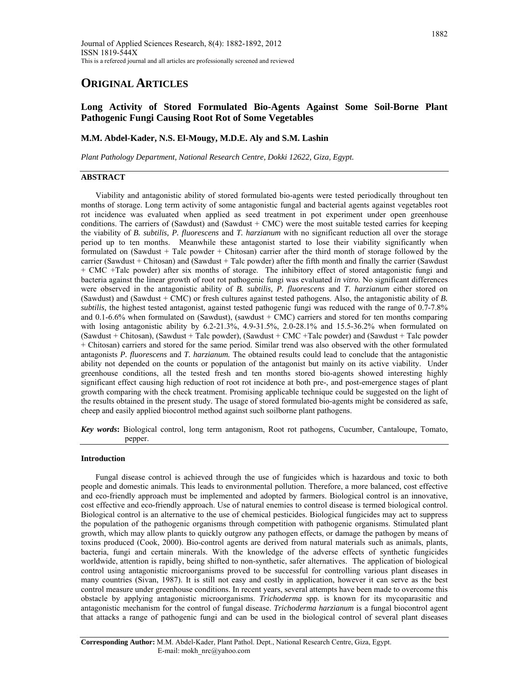# **ORIGINAL ARTICLES**

# **Long Activity of Stored Formulated Bio-Agents Against Some Soil-Borne Plant Pathogenic Fungi Causing Root Rot of Some Vegetables**

# **M.M. Abdel-Kader, N.S. El-Mougy, M.D.E. Aly and S.M. Lashin**

*Plant Pathology Department, National Research Centre, Dokki 12622, Giza, Egypt.* 

# **ABSTRACT**

 Viability and antagonistic ability of stored formulated bio-agents were tested periodically throughout ten months of storage. Long term activity of some antagonistic fungal and bacterial agents against vegetables root rot incidence was evaluated when applied as seed treatment in pot experiment under open greenhouse conditions. The carriers of (Sawdust) and (Sawdust  $+$  CMC) were the most suitable tested carries for keeping the viability of *B. subtilis, P. fluorescens* and *T. harzianum* with no significant reduction all over the storage period up to ten months. Meanwhile these antagonist started to lose their viability significantly when formulated on (Sawdust + Talc powder + Chitosan) carrier after the third month of storage followed by the carrier (Sawdust + Chitosan) and (Sawdust + Talc powder) after the fifth month and finally the carrier (Sawdust + CMC +Talc powder) after six months of storage. The inhibitory effect of stored antagonistic fungi and bacteria against the linear growth of root rot pathogenic fungi was evaluated *in vitro.* No significant differences were observed in the antagonistic ability of *B. subtilis, P. fluorescens* and *T. harzianum* either stored on (Sawdust) and (Sawdust + CMC) or fresh cultures against tested pathogens. Also, the antagonistic ability of *B. subtilis,* the highest tested antagonist*,* against tested pathogenic fungi was reduced with the range of 0.7-7.8% and  $0.1-6.6\%$  when formulated on (Sawdust), (sawdust + CMC) carriers and stored for ten months comparing with losing antagonistic ability by 6.2-21.3%, 4.9-31.5%, 2.0-28.1% and 15.5-36.2% when formulated on (Sawdust + Chitosan), (Sawdust + Talc powder), (Sawdust + CMC +Talc powder) and (Sawdust + Talc powder + Chitosan) carriers and stored for the same period. Similar trend was also observed with the other formulated antagonists *P. fluorescens* and *T. harzianum.* The obtained results could lead to conclude that the antagonistic ability not depended on the counts or population of the antagonist but mainly on its active viability. Under greenhouse conditions, all the tested fresh and ten months stored bio-agents showed interesting highly significant effect causing high reduction of root rot incidence at both pre-, and post-emergence stages of plant growth comparing with the check treatment. Promising applicable technique could be suggested on the light of the results obtained in the present study. The usage of stored formulated bio-agents might be considered as safe, cheep and easily applied biocontrol method against such soilborne plant pathogens.

*Key words***:** Biological control, long term antagonism, Root rot pathogens, Cucumber, Cantaloupe, Tomato, pepper.

# **Introduction**

 Fungal disease control is achieved through the use of fungicides which is hazardous and toxic to both people and domestic animals. This leads to environmental pollution. Therefore, a more balanced, cost effective and eco-friendly approach must be implemented and adopted by farmers. Biological control is an innovative, cost effective and eco-friendly approach. Use of natural enemies to control disease is termed biological control. Biological control is an alternative to the use of chemical pesticides. Biological fungicides may act to suppress the population of the pathogenic organisms through competition with pathogenic organisms. Stimulated plant growth, which may allow plants to quickly outgrow any pathogen effects, or damage the pathogen by means of toxins produced (Cook, 2000). Bio-control agents are derived from natural materials such as animals, plants, bacteria, fungi and certain minerals. With the knowledge of the adverse effects of synthetic fungicides worldwide, attention is rapidly, being shifted to non-synthetic, safer alternatives. The application of biological control using antagonistic microorganisms proved to be successful for controlling various plant diseases in many countries (Sivan, 1987). It is still not easy and costly in application, however it can serve as the best control measure under greenhouse conditions. In recent years, several attempts have been made to overcome this obstacle by applying antagonistic microorganisms. *Trichoderma* spp*.* is known for its mycoparasitic and antagonistic mechanism for the control of fungal disease. *Trichoderma harzianum* is a fungal biocontrol agent that attacks a range of pathogenic fungi and can be used in the biological control of several plant diseases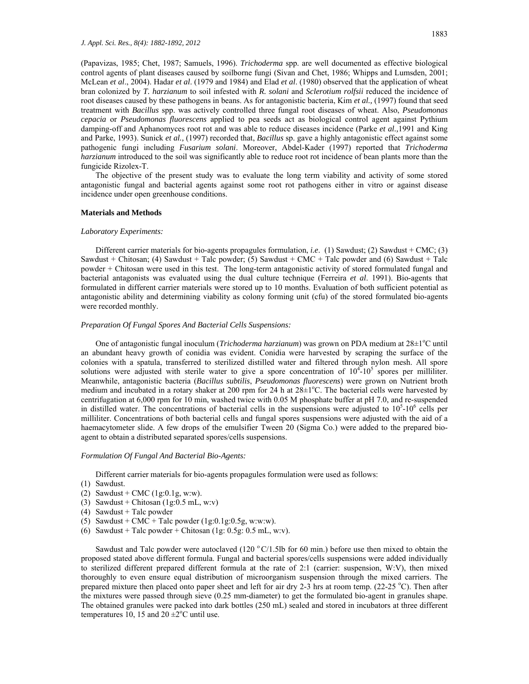(Papavizas, 1985; Chet, 1987; Samuels, 1996). *Trichoderma* spp. are well documented as effective biological control agents of plant diseases caused by soilborne fungi (Sivan and Chet, 1986; Whipps and Lumsden, 2001; McLean *et al*., 2004). Hadar *et al*. (1979 and 1984) and Elad *et al*. (1980) observed that the application of wheat bran colonized by *T. harzianum* to soil infested with *R. solani* and *Sclerotium rolfsii* reduced the incidence of root diseases caused by these pathogens in beans. As for antagonistic bacteria, Kim *et al.,* (1997) found that seed treatment with *Bacillus* spp. was actively controlled three fungal root diseases of wheat. Also, *Pseudomonas cepacia* or *Pseudomonas fluorescens* applied to pea seeds act as biological control agent against Pythium damping-off and Aphanomyces root rot and was able to reduce diseases incidence (Parke *et al.,*1991 and King and Parke, 1993). Sunick *et al.,* (1997) recorded that, *Bacillus* sp. gave a highly antagonistic effect against some pathogenic fungi including *Fusarium solani*. Moreover, Abdel-Kader (1997) reported that *Trichoderma harzianum* introduced to the soil was significantly able to reduce root rot incidence of bean plants more than the fungicide Rizolex-T.

 The objective of the present study was to evaluate the long term viability and activity of some stored antagonistic fungal and bacterial agents against some root rot pathogens either in vitro or against disease incidence under open greenhouse conditions.

#### **Materials and Methods**

#### *Laboratory Experiments:*

Different carrier materials for bio-agents propagules formulation, *i.e.* (1) Sawdust; (2) Sawdust + CMC; (3) Sawdust + Chitosan; (4) Sawdust + Talc powder; (5) Sawdust + CMC + Talc powder and (6) Sawdust + Talc powder + Chitosan were used in this test. The long-term antagonistic activity of stored formulated fungal and bacterial antagonists was evaluated using the dual culture technique (Ferreira *et al*. 1991). Bio-agents that formulated in different carrier materials were stored up to 10 months. Evaluation of both sufficient potential as antagonistic ability and determining viability as colony forming unit (cfu) of the stored formulated bio-agents were recorded monthly.

#### *Preparation Of Fungal Spores And Bacterial Cells Suspensions:*

One of antagonistic fungal inoculum (*Trichoderma harzianum*) was grown on PDA medium at 28±1°C until an abundant heavy growth of conidia was evident. Conidia were harvested by scraping the surface of the colonies with a spatula, transferred to sterilized distilled water and filtered through nylon mesh. All spore solutions were adjusted with sterile water to give a spore concentration of  $10^4$ - $10^5$  spores per milliliter. Meanwhile, antagonistic bacteria (*Bacillus subtilis*, *Pseudomonas fluorescens*) were grown on Nutrient broth medium and incubated in a rotary shaker at 200 rpm for 24 h at 28±1°C. The bacterial cells were harvested by centrifugation at 6,000 rpm for 10 min, washed twice with 0.05 M phosphate buffer at pH 7.0, and re-suspended in distilled water. The concentrations of bacterial cells in the suspensions were adjusted to  $10^5$ - $10^6$  cells per milliliter. Concentrations of both bacterial cells and fungal spores suspensions were adjusted with the aid of a haemacytometer slide. A few drops of the emulsifier Tween 20 (Sigma Co.) were added to the prepared bioagent to obtain a distributed separated spores/cells suspensions.

#### *Formulation Of Fungal And Bacterial Bio-Agents:*

Different carrier materials for bio-agents propagules formulation were used as follows:

- (1) Sawdust.
- (2) Sawdust + CMC (1g:0.1g, w:w).
- (3) Sawdust + Chitosan  $(1g:0.5$  mL, w:v)
- (4) Sawdust + Talc powder
- (5) Sawdust + CMC + Talc powder  $(1g:0.1g:0.5g, w:w:w)$ .
- (6) Sawdust + Talc powder + Chitosan (1g: 0.5g: 0.5 mL, w:v).

Sawdust and Talc powder were autoclaved (120  $^{\circ}$  C/1.5lb for 60 min.) before use then mixed to obtain the proposed stated above different formula. Fungal and bacterial spores/cells suspensions were added individually to sterilized different prepared different formula at the rate of 2:1 (carrier: suspension, W:V), then mixed thoroughly to even ensure equal distribution of microorganism suspension through the mixed carriers. The prepared mixture then placed onto paper sheet and left for air dry  $2-3$  hrs at room temp. (22-25 °C). Then after the mixtures were passed through sieve (0.25 mm-diameter) to get the formulated bio-agent in granules shape. The obtained granules were packed into dark bottles (250 mL) sealed and stored in incubators at three different temperatures 10, 15 and  $20 \pm 2^{\circ}$ C until use.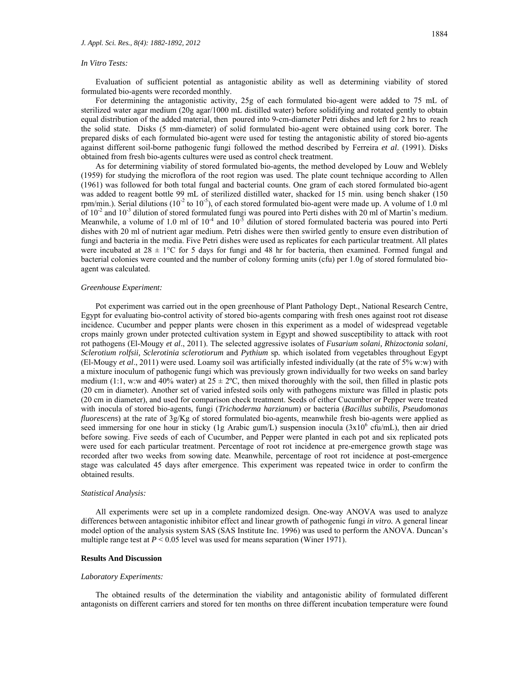#### *In Vitro Tests:*

 Evaluation of sufficient potential as antagonistic ability as well as determining viability of stored formulated bio-agents were recorded monthly.

 For determining the antagonistic activity, 25g of each formulated bio-agent were added to 75 mL of sterilized water agar medium (20g agar/1000 mL distilled water) before solidifying and rotated gently to obtain equal distribution of the added material, then poured into 9-cm-diameter Petri dishes and left for 2 hrs to reach the solid state. Disks (5 mm-diameter) of solid formulated bio-agent were obtained using cork borer. The prepared disks of each formulated bio-agent were used for testing the antagonistic ability of stored bio-agents against different soil-borne pathogenic fungi followed the method described by Ferreira *et al*. (1991). Disks obtained from fresh bio-agents cultures were used as control check treatment.

 As for determining viability of stored formulated bio-agents, the method developed by Louw and Weblely (1959) for studying the microflora of the root region was used. The plate count technique according to Allen (1961) was followed for both total fungal and bacterial counts. One gram of each stored formulated bio-agent was added to reagent bottle 99 mL of sterilized distilled water, shacked for 15 min. using bench shaker (150 rpm/min.). Serial dilutions ( $10^{-2}$  to  $10^{-5}$ ), of each stored formulated bio-agent were made up. A volume of 1.0 ml of  $10^{-2}$  and  $10^{-3}$  dilution of stored formulated fungi was poured into Perti dishes with 20 ml of Martin's medium. Meanwhile, a volume of 1.0 ml of  $10^{-4}$  and  $10^{-5}$  dilution of stored formulated bacteria was poured into Perti dishes with 20 ml of nutrient agar medium. Petri dishes were then swirled gently to ensure even distribution of fungi and bacteria in the media. Five Petri dishes were used as replicates for each particular treatment. All plates were incubated at  $28 \pm 1$ °C for 5 days for fungi and 48 hr for bacteria, then examined. Formed fungal and bacterial colonies were counted and the number of colony forming units (cfu) per 1.0g of stored formulated bioagent was calculated.

#### *Greenhouse Experiment:*

 Pot experiment was carried out in the open greenhouse of Plant Pathology Dept., National Research Centre, Egypt for evaluating bio-control activity of stored bio-agents comparing with fresh ones against root rot disease incidence. Cucumber and pepper plants were chosen in this experiment as a model of widespread vegetable crops mainly grown under protected cultivation system in Egypt and showed susceptibility to attack with root rot pathogens (El-Mougy *et al*., 2011). The selected aggressive isolates of *Fusarium solani, Rhizoctonia solani, Sclerotium rolfsii, Sclerotinia sclerotiorum* and *Pythium* sp*.* which isolated from vegetables throughout Egypt (El-Mougy *et al*., 2011) were used. Loamy soil was artificially infested individually (at the rate of 5% w:w) with a mixture inoculum of pathogenic fungi which was previously grown individually for two weeks on sand barley medium (1:1, w:w and 40% water) at  $25 \pm 2$ °C, then mixed thoroughly with the soil, then filled in plastic pots (20 cm in diameter). Another set of varied infested soils only with pathogens mixture was filled in plastic pots (20 cm in diameter), and used for comparison check treatment. Seeds of either Cucumber or Pepper were treated with inocula of stored bio-agents, fungi (*Trichoderma harzianum*) or bacteria (*Bacillus subtilis, Pseudomonas fluorescens*) at the rate of 3g/Kg of stored formulated bio-agents, meanwhile fresh bio-agents were applied as seed immersing for one hour in sticky (1g Arabic gum/L) suspension inocula  $(3x10^6 \text{ cfu/mL})$ , then air dried before sowing. Five seeds of each of Cucumber, and Pepper were planted in each pot and six replicated pots were used for each particular treatment. Percentage of root rot incidence at pre-emergence growth stage was recorded after two weeks from sowing date. Meanwhile, percentage of root rot incidence at post-emergence stage was calculated 45 days after emergence. This experiment was repeated twice in order to confirm the obtained results.

### *Statistical Analysis:*

 All experiments were set up in a complete randomized design. One-way ANOVA was used to analyze differences between antagonistic inhibitor effect and linear growth of pathogenic fungi *in vitro.* A general linear model option of the analysis system SAS (SAS Institute Inc. 1996) was used to perform the ANOVA. Duncan's multiple range test at  $P < 0.05$  level was used for means separation (Winer 1971).

#### **Results And Discussion**

#### *Laboratory Experiments:*

 The obtained results of the determination the viability and antagonistic ability of formulated different antagonists on different carriers and stored for ten months on three different incubation temperature were found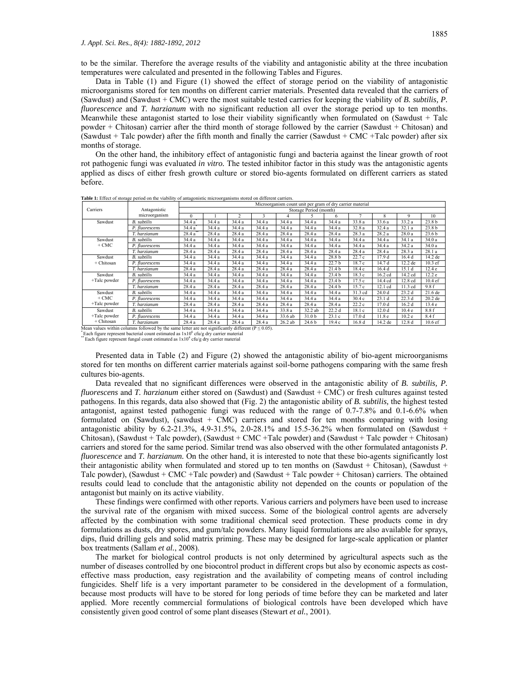to be the similar. Therefore the average results of the viability and antagonistic ability at the three incubation temperatures were calculated and presented in the following Tables and Figures.

 Data in Table (1) and Figure (1) showed the effect of storage period on the viability of antagonistic microorganisms stored for ten months on different carrier materials. Presented data revealed that the carriers of (Sawdust) and (Sawdust + CMC) were the most suitable tested carries for keeping the viability of *B. subtilis, P. fluorescence* and *T. harzianum* with no significant reduction all over the storage period up to ten months. Meanwhile these antagonist started to lose their viability significantly when formulated on (Sawdust + Talc powder + Chitosan) carrier after the third month of storage followed by the carrier (Sawdust + Chitosan) and (Sawdust + Talc powder) after the fifth month and finally the carrier (Sawdust + CMC +Talc powder) after six months of storage.

 On the other hand, the inhibitory effect of antagonistic fungi and bacteria against the linear growth of root rot pathogenic fungi was evaluated *in vitro.* The tested inhibitor factor in this study was the antagonistic agents applied as discs of either fresh growth culture or stored bio-agents formulated on different carriers as stated before.

|                                                                                                          | Antagonistic<br>microorganism | Microorganism count unit per gram of dry carrier material |        |                |        |         |                   |                   |                   |                   |                   |                    |
|----------------------------------------------------------------------------------------------------------|-------------------------------|-----------------------------------------------------------|--------|----------------|--------|---------|-------------------|-------------------|-------------------|-------------------|-------------------|--------------------|
| Carriers                                                                                                 |                               | Storage Period (month)                                    |        |                |        |         |                   |                   |                   |                   |                   |                    |
|                                                                                                          |                               | $\Omega$                                                  |        | $\overline{c}$ | 3      | 4       |                   | 6                 |                   | 8                 | 9                 | 10                 |
| Sawdust                                                                                                  | <b>B.</b> subtilis            | 34.4 a                                                    | 34.4 a | 34.4 a         | 34.4 a | 34.4 a  | 34.4 a            | 34.4a             | 33.8 a            | 33.6a             | 33.2a             | 23.8 <sub>b</sub>  |
|                                                                                                          | P. fluorescens                | 34.4 a                                                    | 34.4 a | 34.4 a         | 34.4 a | 34.4 a  | 34.4 a            | 34.4 a            | 32.8a             | 32.4 a            | 32.1 a            | 23.8 b             |
|                                                                                                          | T. harzianum                  | 28.4a                                                     | 28.4 a | 28.4 a         | 28.4 a | 28.4a   | 28.4 a            | 28.4 a            | 28.3 a            | 28.2a             | 28.0a             | 23.6 b             |
| Sawdust<br>$+$ CMC                                                                                       | <b>B.</b> subtilis            | 34.4 a                                                    | 34.4 a | 34.4 a         | 34.4 a | 34.4 a  | 34.4 a            | 34.4a             | 34.4 a            | 34.4 a            | 34.1 a            | 34.0 a             |
|                                                                                                          | P. fluorescens                | 34.4 a                                                    | 34.4 a | 34.4 a         | 34.4 a | 34.4 a  | 34.4 a            | 34.4a             | 34.4 a            | 34.4 a            | 34.2 a            | 34.0 a             |
|                                                                                                          | T. harzianum                  | 28.4 a                                                    | 28.4a  | 28.4 a         | 28.4 a | 28.4a   | 28.4a             | 28.4a             | 28.4 a            | 28.4a             | 28.3 a            | 28.1a              |
| Sawdust<br>+ Chitosan                                                                                    | <b>B.</b> subtilis            | 34.4 a                                                    | 34.4 a | 34.4 a         | 34.4 a | 34.4 a  | 34.4 a            | 28.8 b            | 22.7c             | 17.9d             | 16.4 d            | 14.2 de            |
|                                                                                                          | P. fluorescens                | 34.4 a                                                    | 34.4 a | 34.4 a         | 34.4 a | 34.4a   | 34.4 a            | 22.7 <sub>b</sub> | 18.7 c            | 14.7 d            | $12.2$ de         | $10.3$ ef          |
|                                                                                                          | T. harzianum                  | 28.4 a                                                    | 28.4 a | 28.4a          | 28.4 a | 28.4 a  | 28.4a             | 21.4 <sub>b</sub> | 18.4 c            | 16.4d             | 15.1 d            | 12.4 <sub>e</sub>  |
| Sawdust<br>+Talc powder                                                                                  | B. subtilis                   | 34.4 a                                                    | 34.4 a | 34.4 a         | 34.4 a | 34.4 a  | 34.4 a            | 23.4 <sub>b</sub> | 18.3c             | 16.2 cd           | 14.2 cd           | 12.2 e             |
|                                                                                                          | P. fluorescens                | 34.4 a                                                    | 34.4 a | 34.4 a         | 34.4 a | 34.4a   | 34.4 a            | 23.4 <sub>b</sub> | 17.5c             | 14.4 cd           | 12.8 cd           | 10.4ef             |
|                                                                                                          | T. harzianum                  | 28.4 a                                                    | 28.4 a | 28.4 a         | 28.4 a | 28.4 a  | 28.4 a            | 24.4 b            | 15.7c             | 12.1 cd           | 11.3 cd           | 9.8f               |
| Sawdust<br>$+$ CMC<br>+Talc powder                                                                       | <b>B.</b> subtilis            | 34.4 a                                                    | 34.4 a | 34.4 a         | 34.4 a | 34.4 a  | 34.4 a            | 34.4a             | 31.3 cd           | 24.0 <sub>d</sub> | 23.2d             | 21.6 de            |
|                                                                                                          | P. fluorescens                | 34.4 a                                                    | 34.4 a | 34.4 a         | 34.4 a | 34.4 a  | 34.4 a            | 34.4a             | 30.4c             | 23.1d             | 22.3d             | 20.2 de            |
|                                                                                                          | T. harzianum                  | 28.4 a                                                    | 28.4 a | 28.4 a         | 28.4 a | 28.4 a  | 28.4 a            | 28.4a             | 22.2c             | 17.0 <sub>d</sub> | 16.2d             | 13.4e              |
| Sawdust<br>+Talc powder<br>+ Chitosan                                                                    | <b>B.</b> subtilis            | 34.4 a                                                    | 34.4 a | 34.4 a         | 34.4 a | 33.8 a  | 32.2 ab           | 22.2d             | 18.1c             | 12.0 <sub>d</sub> | 10.4 <sub>e</sub> | 8.8f               |
|                                                                                                          | P. fluorescens                | 34.4 a                                                    | 34.4 a | 34.4 a         | 34.4 a | 33.6 ab | 31.0 b            | 23.1c             | 17.0 <sub>d</sub> | 11.8 <sub>e</sub> | 10.2 <sub>e</sub> | 8.4 f              |
|                                                                                                          | T. harzianum                  | 28.4 a                                                    | 28.4 a | 28.4a          | 28.4 a | 26.2 ab | 24.6 <sub>b</sub> | 19.4c             | 16.8d             | 14.2 de           | 12.8d             | 10.6 <sub>ef</sub> |
| Mean values within columns followed by the same letter are not significantly different ( $P \le 0.05$ ). |                               |                                                           |        |                |        |         |                   |                   |                   |                   |                   |                    |

**Table 1:** Effect of storage period on the viability of antagonistic microorganisms stored on different carriers.

\* Each figure represent bacterial count estimated as  $1x10^6$  cfu/g dry carrier material \*\* Each figure represent fungal count estimated as  $1x10^4$  cfu/g dry carrier material

 Presented data in Table (2) and Figure (2) showed the antagonistic ability of bio-agent microorganisms stored for ten months on different carrier materials against soil-borne pathogens comparing with the same fresh cultures bio-agents.

 Data revealed that no significant differences were observed in the antagonistic ability of *B. subtilis, P. fluorescens* and *T. harzianum* either stored on (Sawdust) and (Sawdust + CMC) or fresh cultures against tested pathogens. In this regards, data also showed that (Fig. 2) the antagonistic ability of *B. subtilis,* the highest tested antagonist*,* against tested pathogenic fungi was reduced with the range of 0.7-7.8% and 0.1-6.6% when formulated on (Sawdust), (sawdust + CMC) carriers and stored for ten months comparing with losing antagonistic ability by  $6.2-21.3\%$ ,  $4.9-31.5\%$ ,  $2.0-28.1\%$  and  $15.5-36.2\%$  when formulated on (Sawdust + Chitosan), (Sawdust + Talc powder), (Sawdust + CMC +Talc powder) and (Sawdust + Talc powder + Chitosan) carriers and stored for the same period. Similar trend was also observed with the other formulated antagonists *P. fluorescence* and *T. harzianum.* On the other hand, it is interested to note that these bio-agents significantly lost their antagonistic ability when formulated and stored up to ten months on (Sawdust + Chitosan), (Sawdust + Talc powder), (Sawdust + CMC +Talc powder) and (Sawdust + Talc powder + Chitosan) carriers. The obtained results could lead to conclude that the antagonistic ability not depended on the counts or population of the antagonist but mainly on its active viability.

 These findings were confirmed with other reports. Various carriers and polymers have been used to increase the survival rate of the organism with mixed success. Some of the biological control agents are adversely affected by the combination with some traditional chemical seed protection. These products come in dry formulations as dusts, dry spores, and gum/talc powders. Many liquid formulations are also available for sprays, dips, fluid drilling gels and solid matrix priming. These may be designed for large-scale application or planter box treatments (Sallam *et al.*, 2008).

 The market for biological control products is not only determined by agricultural aspects such as the number of diseases controlled by one biocontrol product in different crops but also by economic aspects as costeffective mass production, easy registration and the availability of competing means of control including fungicides. Shelf life is a very important parameter to be considered in the development of a formulation, because most products will have to be stored for long periods of time before they can be marketed and later applied. More recently commercial formulations of biological controls have been developed which have consistently given good control of some plant diseases (Stewart *et al.*, 2001).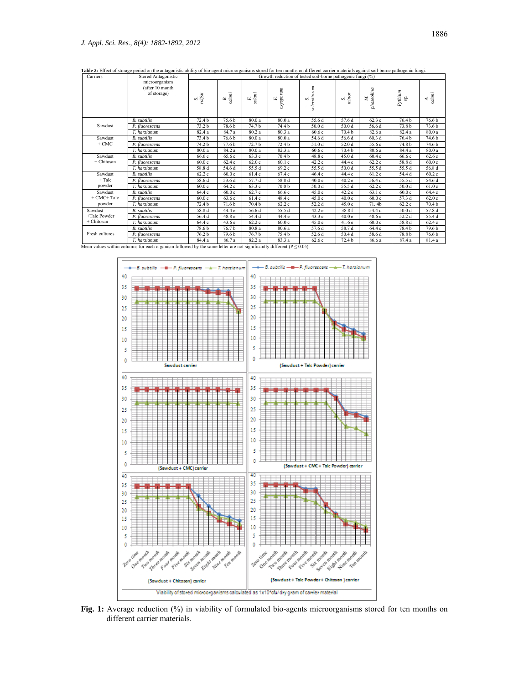| Carriers                                                                                                                                     | Stored Antagonistic<br>microorganism<br>(after 10 month<br>of storage) | Growth reduction of tested soil-borne pathogenic fungi (%) |                    |                    |                   |                   |                   |                   |                   |                   |  |
|----------------------------------------------------------------------------------------------------------------------------------------------|------------------------------------------------------------------------|------------------------------------------------------------|--------------------|--------------------|-------------------|-------------------|-------------------|-------------------|-------------------|-------------------|--|
|                                                                                                                                              |                                                                        | s.<br>rolfsii                                              | $\frac{R}{solami}$ | $\frac{F}{solani}$ | axysporum<br>E,   | sclerotiorum<br>∽ | S.<br>minor       | phaseolina<br>A.  | $Pythium$<br>Sp.  | A.<br>solani      |  |
| Sawdust                                                                                                                                      | <b>B.</b> subtilis                                                     | 72.4 b                                                     | 75.6 b             | 80.0a              | 80.0 a            | 55.6 d            | 57.6 d            | 62.3c             | 76.4 b            | 76.6 b            |  |
|                                                                                                                                              | P. fluorescens                                                         | 73.2 b                                                     | 78.6 b             | 74.7 b             | 74.4 b            | 50.0 d            | 50.0 d            | 56.6 d            | 73.8 <sub>b</sub> | 73.6 <sub>b</sub> |  |
|                                                                                                                                              | T. harzianum                                                           | 82.4 a                                                     | 84.7 a             | 80.2a              | 80.3 a            | 60.6c             | 70.4 b            | 82.6 a            | 82.4 a            | 80.0 a            |  |
| Sawdust<br>$+$ CMC                                                                                                                           | <b>B.</b> subtilis                                                     | 73.4 b                                                     | 76.6 b             | 80.0a              | 80.0 a            | 54.6 d            | 56.6 d            | 60.3d             | 76.4 b            | 74.6 b            |  |
|                                                                                                                                              | P. fluorescens                                                         | 74.2 b                                                     | 77.6 b             | 72.7 b             | 72.4 b            | 51.0 d            | 52.0 d            | 55.6 c            | 74.8 b            | 74.6 b            |  |
|                                                                                                                                              | T. harzianum                                                           | 80.0a                                                      | 84.2 a             | 80.0a              | 82.3a             | 60.6c             | 70.4 <sub>b</sub> | 80.6 a            | 84.4 a            | 80.0 a            |  |
| Sawdust<br>+ Chitosan                                                                                                                        | <b>B.</b> subtilis                                                     | 66.6 c                                                     | 65.6 c             | 63.3 c             | 70.4 b            | 48.8 e            | 45.0 d            | 60.4c             | 66.6 c            | 62.6c             |  |
|                                                                                                                                              | P. fluorescens                                                         | 60.0c                                                      | 62.4 c             | 62.0c              | 60.1c             | 42.2 e            | 44.4 e            | 62.2 c            | 58.8 d            | 60.0c             |  |
|                                                                                                                                              | T. harzianum                                                           | 58.8 d                                                     | 54.6 d             | 55.5 d             | 69.2 c            | 55.5 d            | 50.0 d            | 55.5 d            | 55.5 d            | 56.8 d            |  |
| Sawdust<br>$+$ Talc<br>powder                                                                                                                | <b>B.</b> subtilis                                                     | 62.2c                                                      | 60.0c              | 61.4c              | 67.4 c            | 46.4 e            | 44.4 e            | 61.2c             | 54.4 d            | 60.2c             |  |
|                                                                                                                                              | P. fluorescens                                                         | 58.6 d                                                     | 53.6 d             | 57.7 d             | 58.8 d            | 40.0 e            | 40.2 e            | 56.4 d            | 55.5 d            | 54.6 d            |  |
|                                                                                                                                              | T. harzianum                                                           | 60.0c                                                      | 64.2 c             | 63.3c              | 70.0 <sub>b</sub> | 50.0 d            | 55.5 d            | 62.2c             | 50.0 <sub>d</sub> | 61.0c             |  |
| Sawdust<br>$+$ CMC+Talc<br>powder                                                                                                            | <b>B.</b> subtilis                                                     | 64.4 c                                                     | 60.0c              | 62.7c              | 66.6 c            | 45.0e             | 42.2 e            | 63.1c             | 60.0c             | 64.4 c            |  |
|                                                                                                                                              | P. fluorescens                                                         | 60.0c                                                      | 63.6 c             | 61.4c              | 48.4 e            | 45.0 e            | 40.0 e            | 60.0c             | 57.3 d            | 62.0c             |  |
|                                                                                                                                              | T. harzianum                                                           | 72.4 b                                                     | 71.6 b             | 70.4 b             | 62.2c             | 52.2 d            | 45.0 e            | 71.4 <sub>b</sub> | 62.2c             | 70.4 b            |  |
| Sawdust<br>+Talc Powder<br>+ Chitosan                                                                                                        | <b>B.</b> subtilis                                                     | 58.8 d                                                     | 44.4 e             | 56.6 d             | 55.5 d            | 42.2e             | 38.8 f            | 54.4 d            | 50.0 <sub>d</sub> | 57.8 d            |  |
|                                                                                                                                              | P. fluorescens                                                         | 56.4 d                                                     | 48.8 e             | 54.4 d             | 44.4 e            | 43.3 e            | 40.0 e            | 48.6 e            | 52.2 d            | 55.4d             |  |
|                                                                                                                                              | T. harzianum                                                           | 64.4 c                                                     | 43.6 e             | 62.2c              | 60.0c             | 45.0e             | 41.6e             | 60.0c             | 58.8 d            | 62.4c             |  |
| Fresh cultures<br>Mean values within columns for each organism followed by the same letter are not significantly different ( $P \le 0.05$ ). | <b>B.</b> subtilis                                                     | 78.6 b                                                     | 76.7 b             | 80.8a              | 80.6 a            | 57.6 d            | 58.7 d            | 64.4 c            | 78.4 b            | 79.6 b            |  |
|                                                                                                                                              | P. fluorescens                                                         | 76.2 b                                                     | 79.6 b             | 76.7 b             | 75.4 b            | 52.6 d            | 50.4 d            | 58.6 d            | 78.8 b            | 76.6 b            |  |
|                                                                                                                                              | T. harzianum                                                           | 84.4 a                                                     | 86.7 a             | 82.2 a             | 83.3 a            | 62.6 c            | 72.4 b            | 86.6 a            | 87.4 a            | 81.4 a            |  |

**Table 2:** Effect of storage period on the antagonistic ability of bio-agent microorganisms stored for ten months on different carrier materials against soil-borne pathogenic fungi.



**Fig. 1:** Average reduction (%) in viability of formulated bio-agents microorganisms stored for ten months on different carrier materials.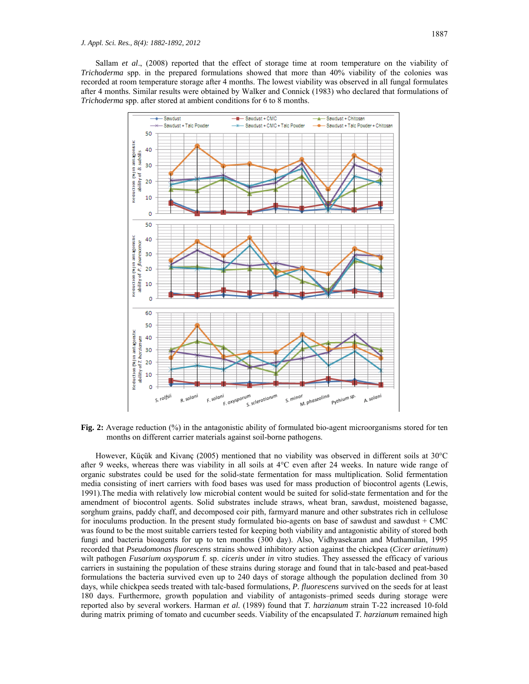Sallam *et al*., (2008) reported that the effect of storage time at room temperature on the viability of *Trichoderma* spp. in the prepared formulations showed that more than 40% viability of the colonies was recorded at room temperature storage after 4 months. The lowest viability was observed in all fungal formulates after 4 months. Similar results were obtained by Walker and Connick (1983) who declared that formulations of *Trichoderma* spp. after stored at ambient conditions for 6 to 8 months.



**Fig. 2:** Average reduction (%) in the antagonistic ability of formulated bio-agent microorganisms stored for ten months on different carrier materials against soil-borne pathogens.

 However, Küçük and Kivanç (2005) mentioned that no viability was observed in different soils at 30°C after 9 weeks, whereas there was viability in all soils at 4°C even after 24 weeks. In nature wide range of organic substrates could be used for the solid-state fermentation for mass multiplication. Solid fermentation media consisting of inert carriers with food bases was used for mass production of biocontrol agents (Lewis, 1991).The media with relatively low microbial content would be suited for solid-state fermentation and for the amendment of biocontrol agents. Solid substrates include straws, wheat bran, sawdust, moistened bagasse, sorghum grains, paddy chaff, and decomposed coir pith, farmyard manure and other substrates rich in cellulose for inoculums production. In the present study formulated bio-agents on base of sawdust and sawdust + CMC was found to be the most suitable carriers tested for keeping both viability and antagonistic ability of stored both fungi and bacteria bioagents for up to ten months (300 day). Also, Vidhyasekaran and Muthamilan, 1995 recorded that *Pseudomonas fluorescens* strains showed inhibitory action against the chickpea (*Cicer arietinum*) wilt pathogen *Fusarium oxysporum* f. sp. *ciceris* under *in* vitro studies. They assessed the efficacy of various carriers in sustaining the population of these strains during storage and found that in talc-based and peat-based formulations the bacteria survived even up to 240 days of storage although the population declined from 30 days, while chickpea seeds treated with talc-based formulations, *P. fluorescens* survived on the seeds for at least 180 days. Furthermore, growth population and viability of antagonists–primed seeds during storage were reported also by several workers. Harman *et al.* (1989) found that *T. harzianum* strain T-22 increased 10-fold during matrix priming of tomato and cucumber seeds. Viability of the encapsulated *T. harzianum* remained high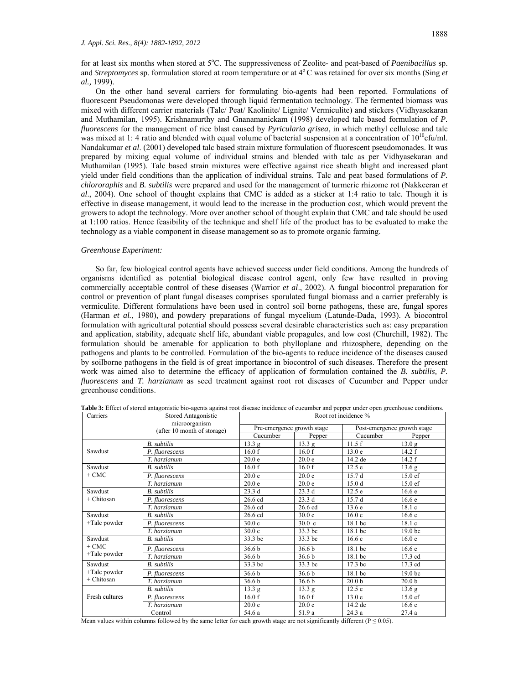for at least six months when stored at 5°C. The suppressiveness of Zeolite- and peat-based of *Paenibacillus* sp. and *Streptomyces* sp. formulation stored at room temperature or at 4<sup>°</sup>C was retained for over six months (Sing *et al.,* 1999).

 On the other hand several carriers for formulating bio-agents had been reported. Formulations of fluorescent Pseudomonas were developed through liquid fermentation technology. The fermented biomass was mixed with different carrier materials (Talc/ Peat/ Kaolinite/ Lignite/ Vermiculite) and stickers (Vidhyasekaran and Muthamilan, 1995). Krishnamurthy and Gnanamanickam (1998) developed talc based formulation of *P. fluorescens* for the management of rice blast caused by *Pyricularia grisea*, in which methyl cellulose and talc was mixed at 1: 4 ratio and blended with equal volume of bacterial suspension at a concentration of  $10^{10}$ cfu/ml. Nandakumar *et al*. (2001) developed talc based strain mixture formulation of fluorescent pseudomonades. It was prepared by mixing equal volume of individual strains and blended with talc as per Vidhyasekaran and Muthamilan (1995). Talc based strain mixtures were effective against rice sheath blight and increased plant yield under field conditions than the application of individual strains. Talc and peat based formulations of *P. chlororaphis* and *B. subtilis* were prepared and used for the management of turmeric rhizome rot (Nakkeeran *et al*., 2004). One school of thought explains that CMC is added as a sticker at 1:4 ratio to talc. Though it is effective in disease management, it would lead to the increase in the production cost, which would prevent the growers to adopt the technology. More over another school of thought explain that CMC and talc should be used at 1:100 ratios. Hence feasibility of the technique and shelf life of the product has to be evaluated to make the technology as a viable component in disease management so as to promote organic farming.

#### *Greenhouse Experiment:*

 So far, few biological control agents have achieved success under field conditions. Among the hundreds of organisms identified as potential biological disease control agent, only few have resulted in proving commercially acceptable control of these diseases (Warrior *et al*., 2002). A fungal biocontrol preparation for control or prevention of plant fungal diseases comprises sporulated fungal biomass and a carrier preferably is vermiculite. Different formulations have been used in control soil borne pathogens, these are, fungal spores (Harman *et al.*, 1980), and powdery preparations of fungal mycelium (Latunde-Dada, 1993). A biocontrol formulation with agricultural potential should possess several desirable characteristics such as: easy preparation and application, stability, adequate shelf life, abundant viable propagules, and low cost (Churchill, 1982). The formulation should be amenable for application to both phylloplane and rhizosphere, depending on the pathogens and plants to be controlled. Formulation of the bio-agents to reduce incidence of the diseases caused by soilborne pathogens in the field is of great importance in biocontrol of such diseases. Therefore the present work was aimed also to determine the efficacy of application of formulation contained the *B. subtilis, P. fluorescens* and *T. harzianum* as seed treatment against root rot diseases of Cucumber and Pepper under greenhouse conditions.

| Carriers        | Stored Antagonistic                          | Root rot incidence %                   |                   |                             |                    |  |  |  |
|-----------------|----------------------------------------------|----------------------------------------|-------------------|-----------------------------|--------------------|--|--|--|
|                 | microorganism<br>(after 10 month of storage) | Pre-emergence growth stage             |                   | Post-emergence growth stage |                    |  |  |  |
|                 |                                              | Cucumber                               | Pepper            | Cucumber                    | Pepper             |  |  |  |
|                 | <b>B.</b> subtilis                           | 13.3 g                                 | 13.3 g            | 11.5f                       | 13.0 g             |  |  |  |
| Sawdust         | P. fluorescens                               | 16.0 f                                 | 16.0 f            | 13.0 <sub>e</sub>           | 14.2 f             |  |  |  |
|                 | T. harzianum                                 | 20.0 <sub>e</sub>                      | 20.0 <sub>e</sub> | 14.2 de                     | 14.2 f             |  |  |  |
| Sawdust         | <b>B.</b> subtilis                           | 16.0 f                                 | 16.0 f            | 12.5e                       | 13.6 g             |  |  |  |
| $+$ CMC         | P. fluorescens                               | 20.0 <sub>e</sub><br>20.0 <sub>e</sub> |                   | 15.7d                       | $15.0 \text{ ef}$  |  |  |  |
|                 | T. harzianum                                 | 20.0 <sub>e</sub>                      | 20.0 <sub>e</sub> | 15.0 <sub>d</sub>           | $15.0 \text{ ef}$  |  |  |  |
| Sawdust         | <b>B.</b> subtilis                           | 23.3d                                  | 23.3 d            | 12.5 e                      | 16.6e              |  |  |  |
| $+Chitosan$     | P. fluorescens                               | $26.6$ cd                              | 23.3d             | 15.7d                       | 16.6e              |  |  |  |
|                 | T. harzianum                                 | 26.6 cd                                | $26.6$ cd         | 13.6e                       | 18.1c              |  |  |  |
| Sawdust         | <b>B.</b> subtilis                           | 26.6 cd                                | 30.0 <sub>c</sub> | 16.0c                       | 16.6e              |  |  |  |
| $+$ Talc powder | P. fluorescens                               | 30.0 <sub>c</sub>                      | 30.0 <sub>c</sub> | 18.1 bc                     | 18.1c              |  |  |  |
|                 | T. harzianum                                 | 30.0c                                  | 33.3 bc           | 18.1 bc                     | 19.0 <sub>bc</sub> |  |  |  |
| Sawdust         | <b>B.</b> subtilis                           | 33.3 bc                                | 33.3 bc           | 16.6c                       | 16.0 e             |  |  |  |
| $+$ CMC         | P. fluorescens                               | 36.6 <sub>b</sub>                      | 36.6 b            | 18.1 bc                     | 16.6e              |  |  |  |
| $+$ Talc powder | T. harzianum                                 | 36.6 <sub>b</sub>                      | 36.6 b            | 18.1 bc                     | 17.3 cd            |  |  |  |
| Sawdust         | <b>B.</b> subtilis                           | 33.3 bc                                | 33.3 bc           | 17.3 bc                     | 17.3 cd            |  |  |  |
| $+$ Talc powder | P. fluorescens                               | 36.6 <sub>b</sub>                      | 36.6 <sub>b</sub> | 18.1 bc                     | 19.0 <sub>bc</sub> |  |  |  |
| + Chitosan      | T. harzianum                                 | 36.6 <sub>b</sub>                      | 36.6 b            | 20.0 <sub>b</sub>           | 20.0 <sub>b</sub>  |  |  |  |
|                 | <b>B.</b> subtilis                           | 13.3 g                                 | 13.3 <sub>g</sub> | 12.5 e                      | $13.6\ g$          |  |  |  |
| Fresh cultures  | P. fluorescens                               | 16.0 f                                 | 16.0 f            | 13.0 <sub>e</sub>           | $15.0 \text{ ef}$  |  |  |  |
|                 | T. harzianum                                 | 20.0 <sub>e</sub>                      | 20.0 <sub>e</sub> | 14.2 de                     | 16.6e              |  |  |  |
| Control         |                                              | 54.6 a                                 | 51.9 a            | 24.3 a                      | 27.4a              |  |  |  |

**Table 3:** Effect of stored antagonistic bio-agents against root disease incidence of cucumber and pepper under open greenhouse conditions.

Mean values within columns followed by the same letter for each growth stage are not significantly different ( $P \le 0.05$ ).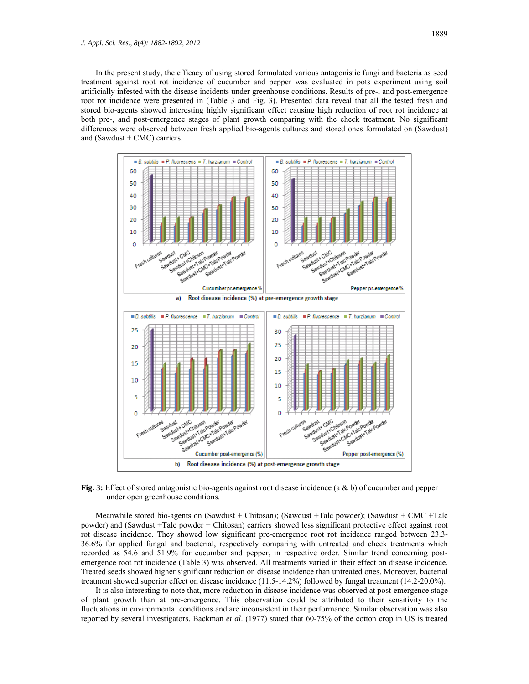In the present study, the efficacy of using stored formulated various antagonistic fungi and bacteria as seed treatment against root rot incidence of cucumber and pepper was evaluated in pots experiment using soil artificially infested with the disease incidents under greenhouse conditions. Results of pre-, and post-emergence root rot incidence were presented in (Table 3 and Fig. 3). Presented data reveal that all the tested fresh and stored bio-agents showed interesting highly significant effect causing high reduction of root rot incidence at both pre-, and post-emergence stages of plant growth comparing with the check treatment. No significant differences were observed between fresh applied bio-agents cultures and stored ones formulated on (Sawdust) and (Sawdust + CMC) carriers.



**Fig. 3:** Effect of stored antagonistic bio-agents against root disease incidence (a & b) of cucumber and pepper under open greenhouse conditions.

 Meanwhile stored bio-agents on (Sawdust + Chitosan); (Sawdust +Talc powder); (Sawdust + CMC +Talc powder) and (Sawdust +Talc powder + Chitosan) carriers showed less significant protective effect against root rot disease incidence. They showed low significant pre-emergence root rot incidence ranged between 23.3-36.6% for applied fungal and bacterial, respectively comparing with untreated and check treatments which recorded as 54.6 and 51.9% for cucumber and pepper, in respective order. Similar trend concerning postemergence root rot incidence (Table 3) was observed. All treatments varied in their effect on disease incidence. Treated seeds showed higher significant reduction on disease incidence than untreated ones. Moreover, bacterial treatment showed superior effect on disease incidence (11.5-14.2%) followed by fungal treatment (14.2-20.0%).

 It is also interesting to note that, more reduction in disease incidence was observed at post-emergence stage of plant growth than at pre-emergence. This observation could be attributed to their sensitivity to the fluctuations in environmental conditions and are inconsistent in their performance. Similar observation was also reported by several investigators. Backman *et al*. (1977) stated that 60-75% of the cotton crop in US is treated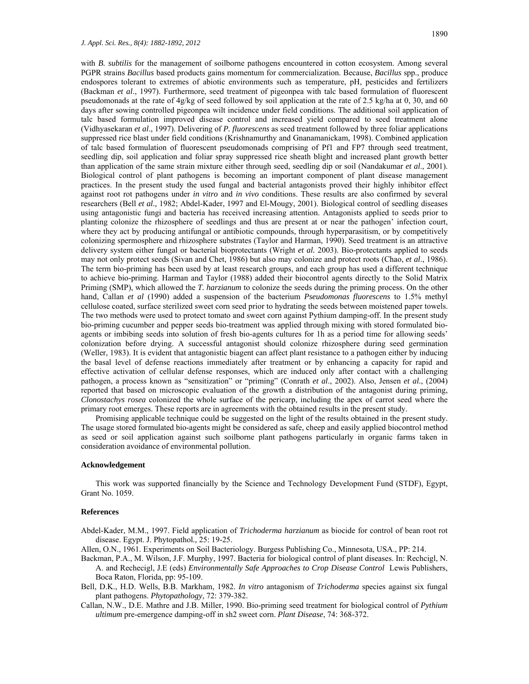with *B. subtilis* for the management of soilborne pathogens encountered in cotton ecosystem. Among several PGPR strains *Bacillus* based products gains momentum for commercialization. Because, *Bacillus* spp., produce endospores tolerant to extremes of abiotic environments such as temperature, pH, pesticides and fertilizers (Backman *et al*., 1997). Furthermore, seed treatment of pigeonpea with talc based formulation of fluorescent pseudomonads at the rate of 4g/kg of seed followed by soil application at the rate of 2.5 kg/ha at 0, 30, and 60 days after sowing controlled pigeonpea wilt incidence under field conditions. The additional soil application of talc based formulation improved disease control and increased yield compared to seed treatment alone (Vidhyasekaran *et al*., 1997). Delivering of *P. fluorescens* as seed treatment followed by three foliar applications suppressed rice blast under field conditions (Krishnamurthy and Gnanamanickam, 1998). Combined application of talc based formulation of fluorescent pseudomonads comprising of Pf1 and FP7 through seed treatment, seedling dip, soil application and foliar spray suppressed rice sheath blight and increased plant growth better than application of the same strain mixture either through seed, seedling dip or soil (Nandakumar *et al*., 2001). Biological control of plant pathogens is becoming an important component of plant disease management practices. In the present study the used fungal and bacterial antagonists proved their highly inhibitor effect against root rot pathogens under *in vitro* and *in vivo* conditions. These results are also confirmed by several researchers (Bell *et al.,* 1982; Abdel-Kader, 1997 and El-Mougy, 2001). Biological control of seedling diseases using antagonistic fungi and bacteria has received increasing attention. Antagonists applied to seeds prior to planting colonize the rhizosphere of seedlings and thus are present at or near the pathogen' infection court, where they act by producing antifungal or antibiotic compounds, through hyperparasitism, or by competitively colonizing spermosphere and rhizosphere substrates (Taylor and Harman, 1990). Seed treatment is an attractive delivery system either fungal or bacterial bioprotectants (Wright *et al.* 2003). Bio-protectants applied to seeds may not only protect seeds (Sivan and Chet, 1986) but also may colonize and protect roots (Chao, *et al*., 1986). The term bio-priming has been used by at least research groups, and each group has used a different technique to achieve bio-priming. Harman and Taylor (1988) added their biocontrol agents directly to the Solid Matrix Priming (SMP), which allowed the *T. harzianum* to colonize the seeds during the priming process. On the other hand, Callan *et al* (1990) added a suspension of the bacterium *Pseudomonas fluorescens* to 1.5% methyl cellulose coated, surface sterilized sweet corn seed prior to hydrating the seeds between moistened paper towels. The two methods were used to protect tomato and sweet corn against Pythium damping-off. In the present study bio-priming cucumber and pepper seeds bio-treatment was applied through mixing with stored formulated bioagents or imbibing seeds into solution of fresh bio-agents cultures for 1h as a period time for allowing seeds' colonization before drying. A successful antagonist should colonize rhizosphere during seed germination (Weller, 1983). It is evident that antagonistic biagent can affect plant resistance to a pathogen either by inducing the basal level of defense reactions immediately after treatment or by enhancing a capacity for rapid and effective activation of cellular defense responses, which are induced only after contact with a challenging pathogen, a process known as "sensitization" or "priming" (Conrath *et al*., 2002). Also, Jensen *et al.*, (2004) reported that based on microscopic evaluation of the growth a distribution of the antagonist during priming, *Clonostachys rosea* colonized the whole surface of the pericarp, including the apex of carrot seed where the primary root emerges. These reports are in agreements with the obtained results in the present study.

 Promising applicable technique could be suggested on the light of the results obtained in the present study. The usage stored formulated bio-agents might be considered as safe, cheep and easily applied biocontrol method as seed or soil application against such soilborne plant pathogens particularly in organic farms taken in consideration avoidance of environmental pollution.

### **Acknowledgement**

 This work was supported financially by the Science and Technology Development Fund (STDF), Egypt, Grant No. 1059.

# **References**

Abdel-Kader, M.M., 1997. Field application of *Trichoderma harzianum* as biocide for control of bean root rot disease. Egypt. J. Phytopathol*.,* 25: 19-25.

Allen, O.N., 1961. Experiments on Soil Bacteriology. Burgess Publishing Co., Minnesota, USA., PP: 214.

- Backman, P.A., M. Wilson, J.F. Murphy, 1997. Bacteria for biological control of plant diseases. In: Rechcigl, N. A. and Rechecigl, J.E (eds) *Environmentally Safe Approaches to Crop Disease Control* Lewis Publishers, Boca Raton, Florida, pp: 95-109.
- Bell, D.K., H.D. Wells, B.B. Markham, 1982. *In vitro* antagonism of *Trichoderma* species against six fungal plant pathogens. *Phytopathology*, 72: 379-382.
- Callan, N.W., D.E. Mathre and J.B. Miller, 1990. Bio-priming seed treatment for biological control of *Pythium ultimum* pre-emergence damping-off in sh2 sweet corn. *Plant Disease*, 74: 368-372.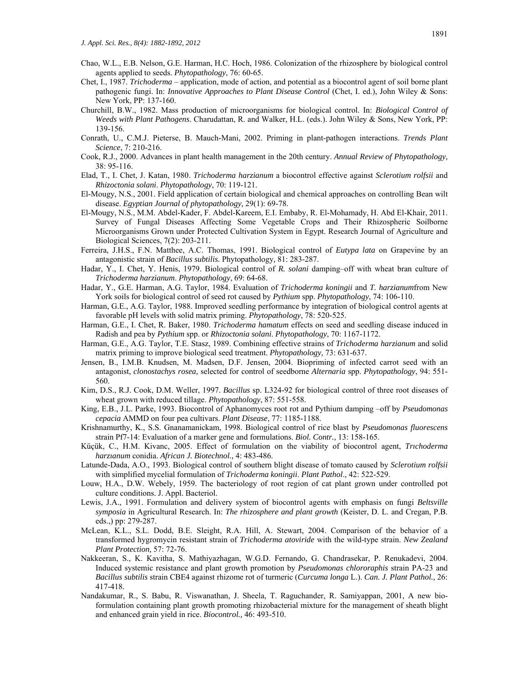- Chao, W.L., E.B. Nelson, G.E. Harman, H.C. Hoch, 1986. Colonization of the rhizosphere by biological control agents applied to seeds. *Phytopathology*, 76: 60-65.
- Chet, I., 1987. *Trichoderma*  application, mode of action, and potential as a biocontrol agent of soil borne plant pathogenic fungi. In: *Innovative Approaches to Plant Disease Control* (Chet, I. ed.), John Wiley & Sons: New York, PP: 137-160.
- Churchill, B.W., 1982. Mass production of microorganisms for biological control. In: *Biological Control of Weeds with Plant Pathogens*. Charudattan, R. and Walker, H.L. (eds.). John Wiley & Sons, New York, PP: 139-156.
- Conrath, U., C.M.J. Pieterse, B. Mauch-Mani, 2002. Priming in plant-pathogen interactions. *Trends Plant Science*, 7: 210-216.
- Cook, R.J., 2000. Advances in plant health management in the 20th century. *Annual Review of Phytopathology,*  38: 95-116.
- Elad, T., I. Chet, J. Katan, 1980. *Trichoderma harzianum* a biocontrol effective against *Sclerotium rolfsii* and *Rhizoctonia solani*. *Phytopathology*, 70: 119-121.
- El-Mougy, N.S., 2001. Field application of certain biological and chemical approaches on controlling Bean wilt disease. *Egyptian Journal of phytopathology,* 29(1): 69-78.
- El-Mougy, N.S., M.M. Abdel-Kader, F. Abdel-Kareem, E.I. Embaby, R. El-Mohamady, H. Abd El-Khair, 2011. Survey of Fungal Diseases Affecting Some Vegetable Crops and Their Rhizospheric Soilborne Microorganisms Grown under Protected Cultivation System in Egypt. Research Journal of Agriculture and Biological Sciences, 7(2): 203-211.
- Ferreira, J.H.S., F.N. Matthee, A.C. Thomas, 1991. Biological control of *Eutypa lata* on Grapevine by an antagonistic strain of *Bacillus subtilis.* Phytopathology*,* 81: 283-287.
- Hadar, Y., I. Chet, Y. Henis, 1979. Biological control of *R. solani* damping–off with wheat bran culture of *Trichoderma harzianum*. *Phytopathology*, 69: 64-68.
- Hadar, Y., G.E. Harman, A.G. Taylor, 1984. Evaluation of *Trichoderma koningii* and *T. harzianum*from New York soils for biological control of seed rot caused by *Pythium* spp. *Phytopathology*, 74: 106-110.
- Harman, G.E., A.G. Taylor, 1988. Improved seedling performance by integration of biological control agents at favorable pH levels with solid matrix priming. *Phytopathology*, 78: 520-525.
- Harman, G.E., I. Chet, R. Baker, 1980. *Trichoderma hamatum* effects on seed and seedling disease induced in Radish and pea by *Pythium* spp. or *Rhizoctonia solani*. *Phytopathology*, 70: 1167-1172.
- Harman, G.E., A.G. Taylor, T.E. Stasz, 1989. Combining effective strains of *Trichoderma harzianum* and solid matrix priming to improve biological seed treatment. *Phytopathology*, 73: 631-637.
- Jensen, B., I.M.B. Knudsen, M. Madsen, D.F. Jensen, 2004. Biopriming of infected carrot seed with an antagonist, *clonostachys rosea,* selected for control of seedborne *Alternaria* spp. *Phytopathology*, 94: 551- 560.
- Kim, D.S., R.J. Cook, D.M. Weller, 1997. *Bacillus* sp. L324-92 for biological control of three root diseases of wheat grown with reduced tillage. *Phytopathology*, 87: 551-558.
- King, E.B., J.L. Parke, 1993. Biocontrol of Aphanomyces root rot and Pythium damping –off by *Pseudomonas cepacia* AMMD on four pea cultivars. *Plant Disease*, 77: 1185-1188.
- Krishnamurthy, K., S.S. Gnanamanickam, 1998. Biological control of rice blast by *Pseudomonas fluorescens*  strain Pf7-14: Evaluation of a marker gene and formulations. *Biol. Contr.,* 13: 158-165.
- Küçük, C., H.M. Kivanc, 2005. Effect of formulation on the viability of biocontrol agent, *Trıchoderma harzıanum* conidia. *African J. Biotechnol.,* 4: 483-486.
- Latunde-Dada, A.O., 1993. Biological control of southern blight disease of tomato caused by *Sclerotium rolfsii*  with simplified mycelial formulation of *Trichoderma koningii*. *Plant Pathol*., 42: 522-529.
- Louw, H.A., D.W. Webely, 1959. The bacteriology of root region of cat plant grown under controlled pot culture conditions. J. Appl. Bacteriol.
- Lewis, J.A., 1991. Formulation and delivery system of biocontrol agents with emphasis on fungi *Beltsville symposia* in Agricultural Research. In: *The rhizosphere and plant growth* (Keister, D. L. and Cregan, P.B. eds.,) pp: 279-287.
- McLean, K.L., S.L. Dodd, B.E. Sleight, R.A. Hill, A. Stewart, 2004. Comparison of the behavior of a transformed hygromycin resistant strain of *Trichoderma atoviride* with the wild-type strain. *New Zealand Plant Protection,* 57: 72-76.
- Nakkeeran, S., K. Kavitha, S. Mathiyazhagan, W.G.D. Fernando, G. Chandrasekar, P. Renukadevi, 2004. Induced systemic resistance and plant growth promotion by *Pseudomonas chlororaphis* strain PA-23 and *Bacillus subtilis* strain CBE4 against rhizome rot of turmeric (*Curcuma longa* L.). *Can. J. Plant Pathol.,* 26: 417-418.
- Nandakumar, R., S. Babu, R. Viswanathan, J. Sheela, T. Raguchander, R. Samiyappan, 2001, A new bioformulation containing plant growth promoting rhizobacterial mixture for the management of sheath blight and enhanced grain yield in rice. *Biocontrol.,* 46: 493-510.